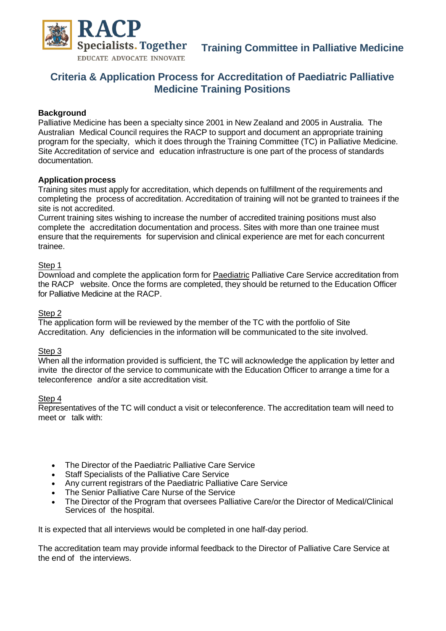

## **Criteria & Application Process for Accreditation of Paediatric Palliative Medicine Training Positions**

## **Background**

Palliative Medicine has been a specialty since 2001 in New Zealand and 2005 in Australia. The Australian Medical Council requires the RACP to support and document an appropriate training program for the specialty, which it does through the Training Committee (TC) in Palliative Medicine. Site Accreditation of service and education infrastructure is one part of the process of standards documentation.

## **Application process**

Training sites must apply for accreditation, which depends on fulfillment of the requirements and completing the process of accreditation. Accreditation of training will not be granted to trainees if the site is not accredited.

Current training sites wishing to increase the number of accredited training positions must also complete the accreditation documentation and process. Sites with more than one trainee must ensure that the requirements for supervision and clinical experience are met for each concurrent trainee.

#### Step 1

Download and complete the application form for Paediatric Palliative Care Service accreditation from the RACP website. Once the forms are completed, they should be returned to the Education Officer for Palliative Medicine at the RACP.

#### Step 2

The application form will be reviewed by the member of the TC with the portfolio of Site Accreditation. Any deficiencies in the information will be communicated to the site involved.

#### Step 3

When all the information provided is sufficient, the TC will acknowledge the application by letter and invite the director of the service to communicate with the Education Officer to arrange a time for a teleconference and/or a site accreditation visit.

#### Step 4

Representatives of the TC will conduct a visit or teleconference. The accreditation team will need to meet or talk with:

- The Director of the Paediatric Palliative Care Service
- Staff Specialists of the Palliative Care Service
- Any current registrars of the Paediatric Palliative Care Service
- The Senior Palliative Care Nurse of the Service
- The Director of the Program that oversees Palliative Care/or the Director of Medical/Clinical Services of the hospital.

It is expected that all interviews would be completed in one half-day period.

The accreditation team may provide informal feedback to the Director of Palliative Care Service at the end of the interviews.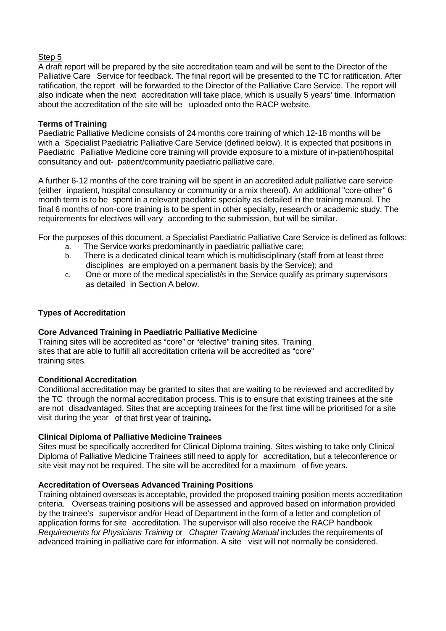## Step 5

A draft report will be prepared by the site accreditation team and will be sent to the Director of the Palliative Care Service for feedback. The final report will be presented to the TC for ratification. After ratification, the report will be forwarded to the Director of the Palliative Care Service. The report will also indicate when the next accreditation will take place, which is usually 5 years' time. Information about the accreditation of the site will be uploaded onto the RACP website.

## **Terms of Training**

Paediatric Palliative Medicine consists of 24 months core training of which 12-18 months will be with a Specialist Paediatric Palliative Care Service (defined below). It is expected that positions in Paediatric Palliative Medicine core training will provide exposure to a mixture of in-patient/hospital consultancy and out- patient/community paediatric palliative care.

A further 6-12 months of the core training will be spent in an accredited adult palliative care service (either inpatient, hospital consultancy or community or a mix thereof). An additional "core-other" 6 month term is to be spent in a relevant paediatric specialty as detailed in the training manual. The final 6 months of non-core training is to be spent in other specialty, research or academic study. The requirements for electives will vary according to the submission, but will be similar.

For the purposes of this document, a Specialist Paediatric Palliative Care Service is defined as follows:

- a. The Service works predominantly in paediatric palliative care;
- b. There is a dedicated clinical team which is multidisciplinary (staff from at least three disciplines are employed on a permanent basis by the Service); and
- c. One or more of the medical specialist/s in the Service qualify as primary supervisors as detailed in Section A below.

## **Types of Accreditation**

## **Core Advanced Training in Paediatric Palliative Medicine**

Training sites will be accredited as "core" or "elective" training sites. Training sites that are able to fulfill all accreditation criteria will be accredited as "core" training sites.

## **Conditional Accreditation**

Conditional accreditation may be granted to sites that are waiting to be reviewed and accredited by the TC through the normal accreditation process. This is to ensure that existing trainees at the site are not disadvantaged. Sites that are accepting trainees for the first time will be prioritised for a site visit during the year of that first year of training**.**

## **Clinical Diploma of Palliative Medicine Trainees**

Sites must be specifically accredited for Clinical Diploma training. Sites wishing to take only Clinical Diploma of Palliative Medicine Trainees still need to apply for accreditation, but a teleconference or site visit may not be required. The site will be accredited for a maximum of five years.

## **Accreditation of Overseas Advanced Training Positions**

Training obtained overseas is acceptable, provided the proposed training position meets accreditation criteria. Overseas training positions will be assessed and approved based on information provided by the trainee's supervisor and/or Head of Department in the form of a letter and completion of application forms for site accreditation. The supervisor will also receive the RACP handbook *Requirements for Physicians Training* or *Chapter Training Manual* includes the requirements of advanced training in palliative care for information. A site visit will not normally be considered.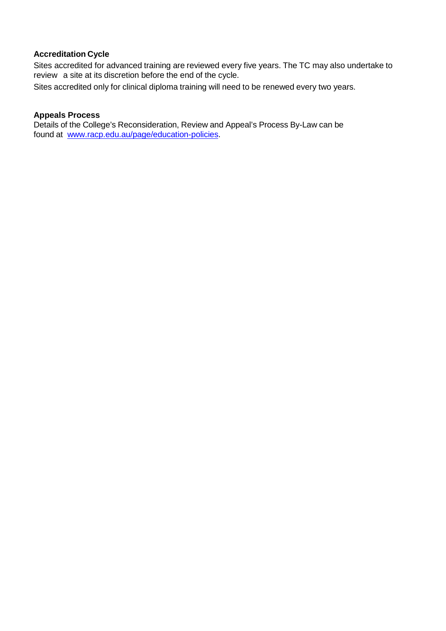## **Accreditation Cycle**

Sites accredited for advanced training are reviewed every five years. The TC may also undertake to review a site at its discretion before the end of the cycle.

Sites accredited only for clinical diploma training will need to be renewed every two years.

#### **Appeals Process**

Details of the College's Reconsideration, Review and Appeal's Process By-Law can be found at [www.racp.edu.au/page/education-policies.](http://www.racp.edu.au/page/education-policies)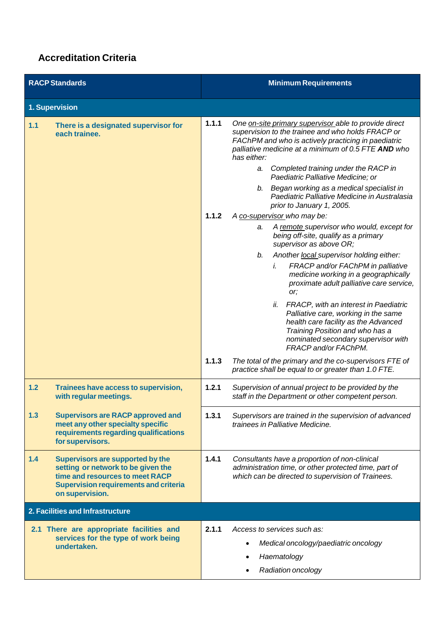# **Accreditation Criteria**

| <b>RACP Standards</b>                                                                                                                                                               | <b>Minimum Requirements</b>                                                                                                                                                                                                                      |  |  |  |
|-------------------------------------------------------------------------------------------------------------------------------------------------------------------------------------|--------------------------------------------------------------------------------------------------------------------------------------------------------------------------------------------------------------------------------------------------|--|--|--|
| 1. Supervision                                                                                                                                                                      |                                                                                                                                                                                                                                                  |  |  |  |
| There is a designated supervisor for<br>1.1<br>each trainee.                                                                                                                        | 1.1.1<br>One on-site primary supervisor able to provide direct<br>supervision to the trainee and who holds FRACP or<br>FAChPM and who is actively practicing in paediatric<br>palliative medicine at a minimum of 0.5 FTE AND who<br>has either: |  |  |  |
|                                                                                                                                                                                     | Completed training under the RACP in<br>а.<br>Paediatric Palliative Medicine; or                                                                                                                                                                 |  |  |  |
|                                                                                                                                                                                     | b. Began working as a medical specialist in<br>Paediatric Palliative Medicine in Australasia<br>prior to January 1, 2005.                                                                                                                        |  |  |  |
|                                                                                                                                                                                     | 1.1.2<br>A co-supervisor who may be:                                                                                                                                                                                                             |  |  |  |
|                                                                                                                                                                                     | A remote supervisor who would, except for<br>a.<br>being off-site, qualify as a primary<br>supervisor as above OR;                                                                                                                               |  |  |  |
|                                                                                                                                                                                     | b.<br>Another local supervisor holding either:<br>FRACP and/or FAChPM in palliative<br>i.<br>medicine working in a geographically<br>proximate adult palliative care service,<br>or;                                                             |  |  |  |
|                                                                                                                                                                                     | ii. FRACP, with an interest in Paediatric<br>Palliative care, working in the same<br>health care facility as the Advanced<br>Training Position and who has a<br>nominated secondary supervisor with<br>FRACP and/or FAChPM.                      |  |  |  |
|                                                                                                                                                                                     | 1.1.3<br>The total of the primary and the co-supervisors FTE of<br>practice shall be equal to or greater than 1.0 FTE.                                                                                                                           |  |  |  |
| 1.2<br>Trainees have access to supervision,<br>with regular meetings.                                                                                                               | 1.2.1<br>Supervision of annual project to be provided by the<br>staff in the Department or other competent person.                                                                                                                               |  |  |  |
| 1.3<br><b>Supervisors are RACP approved and</b><br>meet any other specialty specific<br>requirements regarding qualifications<br>for supervisors.                                   | 1.3.1<br>Supervisors are trained in the supervision of advanced<br>trainees in Palliative Medicine.                                                                                                                                              |  |  |  |
| 1.4<br>Supervisors are supported by the<br>setting or network to be given the<br>time and resources to meet RACP<br><b>Supervision requirements and criteria</b><br>on supervision. | 1.4.1<br>Consultants have a proportion of non-clinical<br>administration time, or other protected time, part of<br>which can be directed to supervision of Trainees.                                                                             |  |  |  |
| 2. Facilities and Infrastructure                                                                                                                                                    |                                                                                                                                                                                                                                                  |  |  |  |
| 2.1 There are appropriate facilities and                                                                                                                                            | 2.1.1<br>Access to services such as:                                                                                                                                                                                                             |  |  |  |
| services for the type of work being<br>undertaken.                                                                                                                                  | Medical oncology/paediatric oncology                                                                                                                                                                                                             |  |  |  |
|                                                                                                                                                                                     | Haematology                                                                                                                                                                                                                                      |  |  |  |
|                                                                                                                                                                                     | <b>Radiation oncology</b>                                                                                                                                                                                                                        |  |  |  |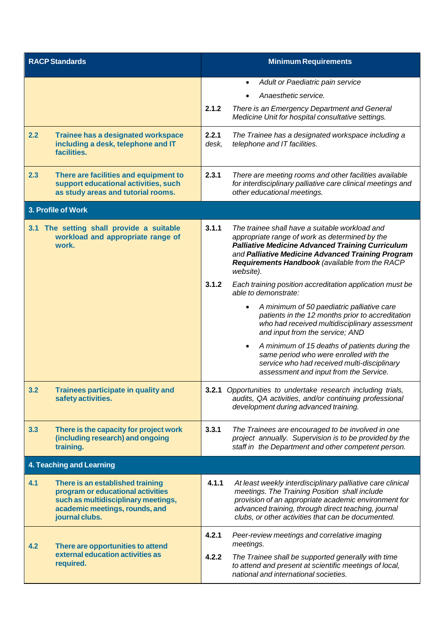| Adult or Paediatric pain service<br>$\bullet$<br>Anaesthetic service.<br>2.1.2<br>There is an Emergency Department and General<br>Medicine Unit for hospital consultative settings.<br>2.2<br>2.2.1<br><b>Trainee has a designated workspace</b><br>The Trainee has a designated workspace including a<br>including a desk, telephone and IT<br>telephone and IT facilities.<br>desk,<br>facilities.<br>2.3.1<br>2.3<br>There are facilities and equipment to<br>There are meeting rooms and other facilities available<br>support educational activities, such<br>for interdisciplinary palliative care clinical meetings and<br>as study areas and tutorial rooms.<br>other educational meetings. |  |  |  |  |  |
|-----------------------------------------------------------------------------------------------------------------------------------------------------------------------------------------------------------------------------------------------------------------------------------------------------------------------------------------------------------------------------------------------------------------------------------------------------------------------------------------------------------------------------------------------------------------------------------------------------------------------------------------------------------------------------------------------------|--|--|--|--|--|
|                                                                                                                                                                                                                                                                                                                                                                                                                                                                                                                                                                                                                                                                                                     |  |  |  |  |  |
|                                                                                                                                                                                                                                                                                                                                                                                                                                                                                                                                                                                                                                                                                                     |  |  |  |  |  |
|                                                                                                                                                                                                                                                                                                                                                                                                                                                                                                                                                                                                                                                                                                     |  |  |  |  |  |
|                                                                                                                                                                                                                                                                                                                                                                                                                                                                                                                                                                                                                                                                                                     |  |  |  |  |  |
|                                                                                                                                                                                                                                                                                                                                                                                                                                                                                                                                                                                                                                                                                                     |  |  |  |  |  |
| 3. Profile of Work                                                                                                                                                                                                                                                                                                                                                                                                                                                                                                                                                                                                                                                                                  |  |  |  |  |  |
| 3.1.1<br>3.1 The setting shall provide a suitable<br>The trainee shall have a suitable workload and<br>workload and appropriate range of<br>appropriate range of work as determined by the<br>work.<br><b>Palliative Medicine Advanced Training Curriculum</b><br>and Palliative Medicine Advanced Training Program<br>Requirements Handbook (available from the RACP<br>website).                                                                                                                                                                                                                                                                                                                  |  |  |  |  |  |
| 3.1.2<br>Each training position accreditation application must be<br>able to demonstrate:                                                                                                                                                                                                                                                                                                                                                                                                                                                                                                                                                                                                           |  |  |  |  |  |
| A minimum of 50 paediatric palliative care<br>٠<br>patients in the 12 months prior to accreditation<br>who had received multidisciplinary assessment<br>and input from the service; AND                                                                                                                                                                                                                                                                                                                                                                                                                                                                                                             |  |  |  |  |  |
| A minimum of 15 deaths of patients during the<br>$\bullet$<br>same period who were enrolled with the<br>service who had received multi-disciplinary<br>assessment and input from the Service.                                                                                                                                                                                                                                                                                                                                                                                                                                                                                                       |  |  |  |  |  |
| 3.2<br>3.2.1 Opportunities to undertake research including trials,<br><b>Trainees participate in quality and</b><br>audits, QA activities, and/or continuing professional<br>safety activities.<br>development during advanced training.                                                                                                                                                                                                                                                                                                                                                                                                                                                            |  |  |  |  |  |
| 3.3<br>3.3.1<br>There is the capacity for project work<br>The Trainees are encouraged to be involved in one<br>project annually. Supervision is to be provided by the<br>(including research) and ongoing<br>staff in the Department and other competent person.<br>training.                                                                                                                                                                                                                                                                                                                                                                                                                       |  |  |  |  |  |
| 4. Teaching and Learning                                                                                                                                                                                                                                                                                                                                                                                                                                                                                                                                                                                                                                                                            |  |  |  |  |  |
| 4.1<br>There is an established training<br>4.1.1<br>At least weekly interdisciplinary palliative care clinical<br>program or educational activities<br>meetings. The Training Position shall include<br>such as multidisciplinary meetings,<br>provision of an appropriate academic environment for<br>advanced training, through direct teaching, journal<br>academic meetings, rounds, and<br>journal clubs.<br>clubs, or other activities that can be documented.                                                                                                                                                                                                                                |  |  |  |  |  |
| 4.2.1<br>Peer-review meetings and correlative imaging<br>meetings.<br>4.2<br>There are opportunities to attend<br>external education activities as<br>4.2.2<br>The Trainee shall be supported generally with time<br>required.<br>to attend and present at scientific meetings of local,<br>national and international societies.                                                                                                                                                                                                                                                                                                                                                                   |  |  |  |  |  |